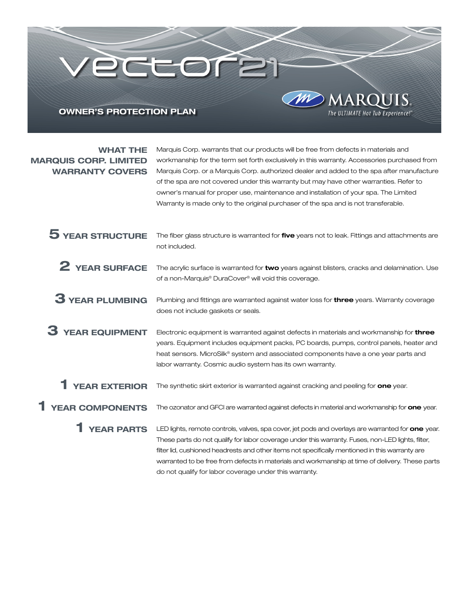# OWNER'S PROTECTION PLAN

eceore

WHAT THE MARQUIS CORP. LIMITED WARRANTY COVERS

Marquis Corp. warrants that our products will be free from defects in materials and workmanship for the term set forth exclusively in this warranty. Accessories purchased from Marquis Corp. or a Marquis Corp. authorized dealer and added to the spa after manufacture of the spa are not covered under this warranty but may have other warranties. Refer to owner's manual for proper use, maintenance and installation of your spa. The Limited Warranty is made only to the original purchaser of the spa and is not transferable.

The ULTIMATE Hot Tub Experience!"

The fiber glass structure is warranted for five years not to leak. Fittings and attachments are not included. The acrylic surface is warranted for two years against blisters, cracks and delamination. Use of a non-Marquis® DuraCover® will void this coverage. 3 YEAR PLUMBING Plumbing and fittings are warranted against water loss for three years. Warranty coverage does not include gaskets or seals. Electronic equipment is warranted against defects in materials and workmanship for three years. Equipment includes equipment packs, PC boards, pumps, control panels, heater and heat sensors. MicroSilk® system and associated components have a one year parts and labor warranty. Cosmic audio system has its own warranty. The synthetic skirt exterior is warranted against cracking and peeling for one year. The ozonator and GFCI are warranted against defects in material and workmanship for one year. 5 YEAR STRUCTURE 2 YEAR SURFACE 3 YEAR EQUIPMENT 1 YEAR EXTERIOR 1 YEAR COMPONENTS

LED lights, remote controls, valves, spa cover, jet pods and overlays are warranted for one year. These parts do not qualify for labor coverage under this warranty. Fuses, non-LED lights, filter, filter lid, cushioned headrests and other items not specifically mentioned in this warranty are warranted to be free from defects in materials and workmanship at time of delivery. These parts do not qualify for labor coverage under this warranty. 1 YEAR PARTS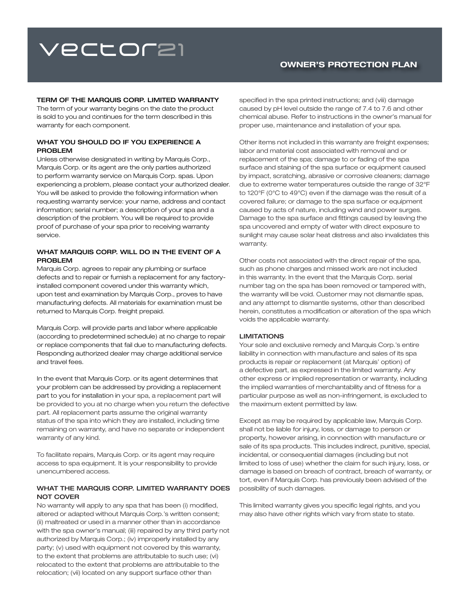# **vector21**

# OWNER'S PROTECTION PLAN

#### TERM OF THE MARQUIS CORP. LIMITED WARRANTY

The term of your warranty begins on the date the product is sold to you and continues for the term described in this warranty for each component.

## WHAT YOU SHOULD DO IF YOU EXPERIENCE A PROBLEM

Unless otherwise designated in writing by Marquis Corp., Marquis Corp. or its agent are the only parties authorized to perform warranty service on Marquis Corp. spas. Upon experiencing a problem, please contact your authorized dealer. You will be asked to provide the following information when requesting warranty service: your name, address and contact information; serial number; a description of your spa and a description of the problem. You will be required to provide proof of purchase of your spa prior to receiving warranty service.

## WHAT MARQUIS CORP. WILL DO IN THE EVENT OF A PROBLEM

Marquis Corp. agrees to repair any plumbing or surface defects and to repair or furnish a replacement for any factoryinstalled component covered under this warranty which, upon test and examination by Marquis Corp., proves to have manufacturing defects. All materials for examination must be returned to Marquis Corp. freight prepaid.

Marquis Corp. will provide parts and labor where applicable (according to predetermined schedule) at no charge to repair or replace components that fail due to manufacturing defects. Responding authorized dealer may charge additional service and travel fees.

In the event that Marquis Corp. or its agent determines that your problem can be addressed by providing a replacement part to you for installation in your spa, a replacement part will be provided to you at no charge when you return the defective part. All replacement parts assume the original warranty status of the spa into which they are installed, including time remaining on warranty, and have no separate or independent warranty of any kind.

To facilitate repairs, Marquis Corp. or its agent may require access to spa equipment. It is your responsibility to provide unencumbered access.

## WHAT THE MARQUIS CORP. LIMITED WARRANTY DOES NOT COVER

No warranty will apply to any spa that has been (i) modified, altered or adapted without Marquis Corp.'s written consent; (ii) maltreated or used in a manner other than in accordance with the spa owner's manual; (iii) repaired by any third party not authorized by Marquis Corp.; (iv) improperly installed by any party; (v) used with equipment not covered by this warranty, to the extent that problems are attributable to such use; (vi) relocated to the extent that problems are attributable to the relocation; (vii) located on any support surface other than

specified in the spa printed instructions; and (viii) damage caused by pH level outside the range of 7.4 to 7.6 and other chemical abuse. Refer to instructions in the owner's manual for proper use, maintenance and installation of your spa.

Other items not included in this warranty are freight expenses; labor and material cost associated with removal and or replacement of the spa; damage to or fading of the spa surface and staining of the spa surface or equipment caused by impact, scratching, abrasive or corrosive cleaners; damage due to extreme water temperatures outside the range of 32°F to 120°F (0°C to 49°C) even if the damage was the result of a covered failure; or damage to the spa surface or equipment caused by acts of nature, including wind and power surges. Damage to the spa surface and fittings caused by leaving the spa uncovered and empty of water with direct exposure to sunlight may cause solar heat distress and also invalidates this warranty.

Other costs not associated with the direct repair of the spa, such as phone charges and missed work are not included in this warranty. In the event that the Marquis Corp. serial number tag on the spa has been removed or tampered with, the warranty will be void. Customer may not dismantle spas, and any attempt to dismantle systems, other than described herein, constitutes a modification or alteration of the spa which voids the applicable warranty.

## **LIMITATIONS**

Your sole and exclusive remedy and Marquis Corp.'s entire liability in connection with manufacture and sales of its spa products is repair or replacement (at Marquis' option) of a defective part, as expressed in the limited warranty. Any other express or implied representation or warranty, including the implied warranties of merchantability and of fitness for a particular purpose as well as non-infringement, is excluded to the maximum extent permitted by law.

Except as may be required by applicable law, Marquis Corp. shall not be liable for injury, loss, or damage to person or property, however arising, in connection with manufacture or sale of its spa products. This includes indirect, punitive, special, incidental, or consequential damages (including but not limited to loss of use) whether the claim for such injury, loss, or damage is based on breach of contract, breach of warranty, or tort, even if Marquis Corp. has previously been advised of the possibility of such damages.

This limited warranty gives you specific legal rights, and you may also have other rights which vary from state to state.